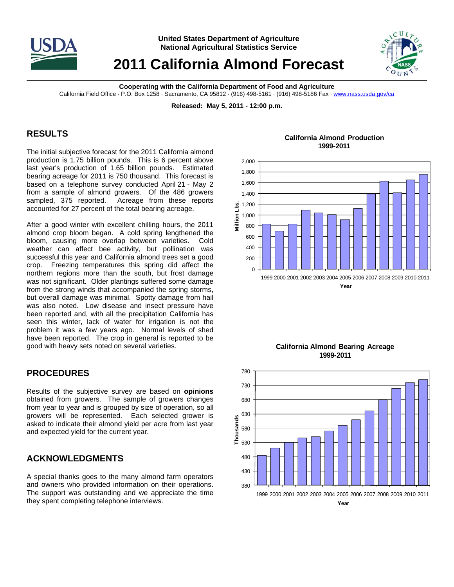

**United States Department of Agriculture National Agricultural Statistics Service**

# **2011 California Almond Forecast**



**Cooperating with the California Department of Food and Agriculture** 

California Field Office · P.O. Box 1258 · Sacramento, CA 95812 · (916) 498-5161 · (916) 498-5186 Fax · www.nass.usda.gov/ca

**Released: May 5, 2011 - 12:00 p.m.** 

## **RESULTS**

The initial subjective forecast for the 2011 California almond production is 1.75 billion pounds. This is 6 percent above last year's production of 1.65 billion pounds. Estimated bearing acreage for 2011 is 750 thousand. This forecast is based on a telephone survey conducted April 21 - May 2 from a sample of almond growers. Of the 486 growers sampled, 375 reported. Acreage from these reports accounted for 27 percent of the total bearing acreage.

After a good winter with excellent chilling hours, the 2011 almond crop bloom began. A cold spring lengthened the bloom, causing more overlap between varieties. Cold weather can affect bee activity, but pollination was successful this year and California almond trees set a good crop. Freezing temperatures this spring did affect the northern regions more than the south, but frost damage was not significant. Older plantings suffered some damage from the strong winds that accompanied the spring storms, but overall damage was minimal. Spotty damage from hail was also noted. Low disease and insect pressure have been reported and, with all the precipitation California has seen this winter, lack of water for irrigation is not the problem it was a few years ago. Normal levels of shed have been reported. The crop in general is reported to be good with heavy sets noted on several varieties.

### **PROCEDURES**

Results of the subjective survey are based on **opinions** obtained from growers. The sample of growers changes from year to year and is grouped by size of operation, so all growers will be represented. Each selected grower is asked to indicate their almond yield per acre from last year and expected yield for the current year.

# **ACKNOWLEDGMENTS**

A special thanks goes to the many almond farm operators and owners who provided information on their operations. The support was outstanding and we appreciate the time they spent completing telephone interviews.

**California Almond Production 1999-2011**





**California Almond Bearing Acreage 1999-2011**